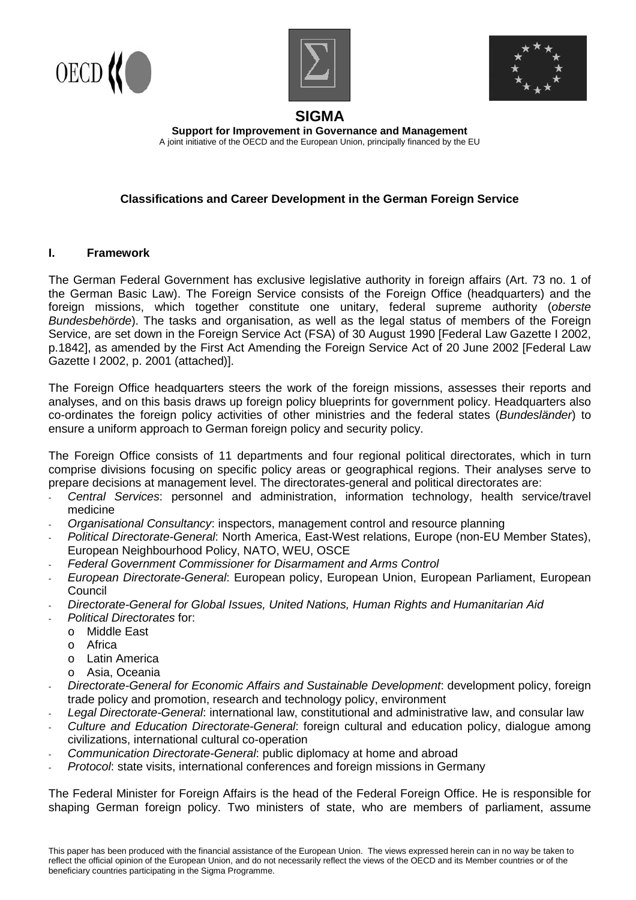





# **SIGMA**

**Support for Improvement in Governance and Management**  A joint initiative of the OECD and the European Union, principally financed by the EU

## **Classifications and Career Development in the German Foreign Service**

#### **I. Framework**

The German Federal Government has exclusive legislative authority in foreign affairs (Art. 73 no. 1 of the German Basic Law). The Foreign Service consists of the Foreign Office (headquarters) and the foreign missions, which together constitute one unitary, federal supreme authority (oberste Bundesbehörde). The tasks and organisation, as well as the legal status of members of the Foreign Service, are set down in the Foreign Service Act (FSA) of 30 August 1990 [Federal Law Gazette I 2002, p.1842], as amended by the First Act Amending the Foreign Service Act of 20 June 2002 [Federal Law Gazette I 2002, p. 2001 (attached)].

The Foreign Office headquarters steers the work of the foreign missions, assesses their reports and analyses, and on this basis draws up foreign policy blueprints for government policy. Headquarters also co-ordinates the foreign policy activities of other ministries and the federal states (Bundesländer) to ensure a uniform approach to German foreign policy and security policy.

The Foreign Office consists of 11 departments and four regional political directorates, which in turn comprise divisions focusing on specific policy areas or geographical regions. Their analyses serve to prepare decisions at management level. The directorates-general and political directorates are:

- Central Services: personnel and administration, information technology, health service/travel medicine
- Organisational Consultancy: inspectors, management control and resource planning
- Political Directorate-General: North America, East-West relations, Europe (non-EU Member States), European Neighbourhood Policy, NATO, WEU, OSCE
- Federal Government Commissioner for Disarmament and Arms Control
- European Directorate-General: European policy, European Union, European Parliament, European **Council**
- Directorate-General for Global Issues, United Nations, Human Rights and Humanitarian Aid
- Political Directorates for:
- o Middle East
	- o Africa
	- o Latin America
- o Asia, Oceania
- Directorate-General for Economic Affairs and Sustainable Development: development policy, foreign trade policy and promotion, research and technology policy, environment
- Legal Directorate-General: international law, constitutional and administrative law, and consular law
- Culture and Education Directorate-General: foreign cultural and education policy, dialogue among civilizations, international cultural co-operation
- Communication Directorate-General: public diplomacy at home and abroad
- Protocol: state visits, international conferences and foreign missions in Germany

The Federal Minister for Foreign Affairs is the head of the Federal Foreign Office. He is responsible for shaping German foreign policy. Two ministers of state, who are members of parliament, assume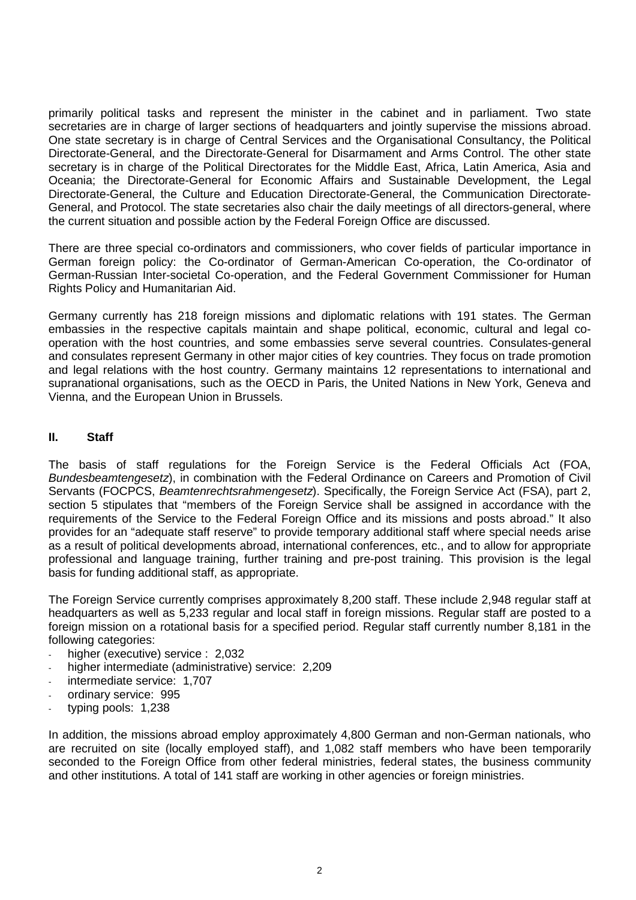primarily political tasks and represent the minister in the cabinet and in parliament. Two state secretaries are in charge of larger sections of headquarters and jointly supervise the missions abroad. One state secretary is in charge of Central Services and the Organisational Consultancy, the Political Directorate-General, and the Directorate-General for Disarmament and Arms Control. The other state secretary is in charge of the Political Directorates for the Middle East, Africa, Latin America, Asia and Oceania; the Directorate-General for Economic Affairs and Sustainable Development, the Legal Directorate-General, the Culture and Education Directorate-General, the Communication Directorate-General, and Protocol. The state secretaries also chair the daily meetings of all directors-general, where the current situation and possible action by the Federal Foreign Office are discussed.

There are three special co-ordinators and commissioners, who cover fields of particular importance in German foreign policy: the Co-ordinator of German-American Co-operation, the Co-ordinator of German-Russian Inter-societal Co-operation, and the Federal Government Commissioner for Human Rights Policy and Humanitarian Aid.

Germany currently has 218 foreign missions and diplomatic relations with 191 states. The German embassies in the respective capitals maintain and shape political, economic, cultural and legal cooperation with the host countries, and some embassies serve several countries. Consulates-general and consulates represent Germany in other major cities of key countries. They focus on trade promotion and legal relations with the host country. Germany maintains 12 representations to international and supranational organisations, such as the OECD in Paris, the United Nations in New York, Geneva and Vienna, and the European Union in Brussels.

#### **II. Staff**

The basis of staff regulations for the Foreign Service is the Federal Officials Act (FOA, Bundesbeamtengesetz), in combination with the Federal Ordinance on Careers and Promotion of Civil Servants (FOCPCS, Beamtenrechtsrahmengesetz). Specifically, the Foreign Service Act (FSA), part 2, section 5 stipulates that "members of the Foreign Service shall be assigned in accordance with the requirements of the Service to the Federal Foreign Office and its missions and posts abroad." It also provides for an "adequate staff reserve" to provide temporary additional staff where special needs arise as a result of political developments abroad, international conferences, etc., and to allow for appropriate professional and language training, further training and pre-post training. This provision is the legal basis for funding additional staff, as appropriate.

The Foreign Service currently comprises approximately 8,200 staff. These include 2,948 regular staff at headquarters as well as 5,233 regular and local staff in foreign missions. Regular staff are posted to a foreign mission on a rotational basis for a specified period. Regular staff currently number 8,181 in the following categories:

- higher (executive) service : 2,032
- higher intermediate (administrative) service: 2,209
- intermediate service: 1,707
- ordinary service: 995
- typing pools: 1,238

In addition, the missions abroad employ approximately 4,800 German and non-German nationals, who are recruited on site (locally employed staff), and 1,082 staff members who have been temporarily seconded to the Foreign Office from other federal ministries, federal states, the business community and other institutions. A total of 141 staff are working in other agencies or foreign ministries.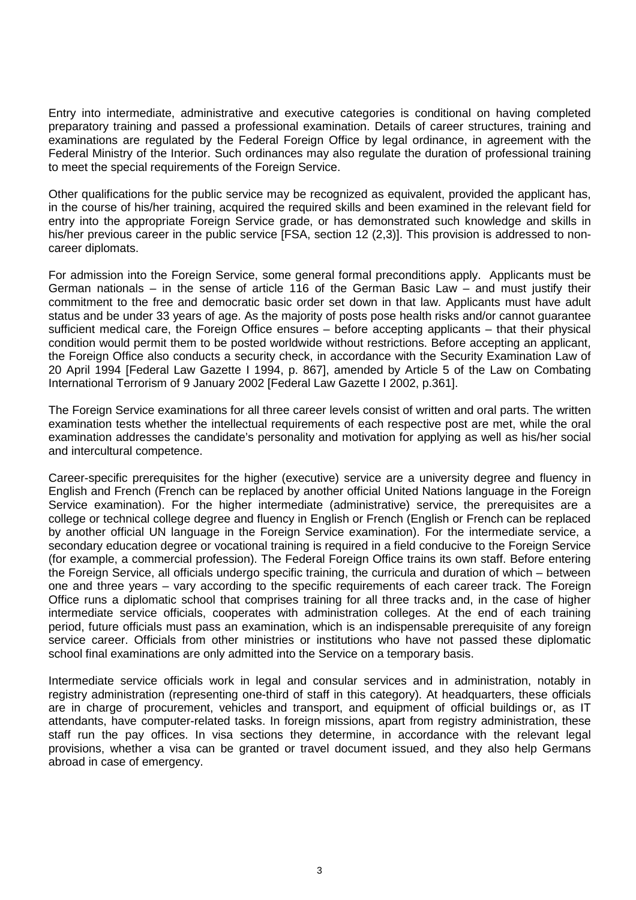Entry into intermediate, administrative and executive categories is conditional on having completed preparatory training and passed a professional examination. Details of career structures, training and examinations are regulated by the Federal Foreign Office by legal ordinance, in agreement with the Federal Ministry of the Interior. Such ordinances may also regulate the duration of professional training to meet the special requirements of the Foreign Service.

Other qualifications for the public service may be recognized as equivalent, provided the applicant has, in the course of his/her training, acquired the required skills and been examined in the relevant field for entry into the appropriate Foreign Service grade, or has demonstrated such knowledge and skills in his/her previous career in the public service [FSA, section 12 (2,3)]. This provision is addressed to noncareer diplomats.

For admission into the Foreign Service, some general formal preconditions apply. Applicants must be German nationals – in the sense of article 116 of the German Basic Law – and must justify their commitment to the free and democratic basic order set down in that law. Applicants must have adult status and be under 33 years of age. As the majority of posts pose health risks and/or cannot guarantee sufficient medical care, the Foreign Office ensures – before accepting applicants – that their physical condition would permit them to be posted worldwide without restrictions. Before accepting an applicant, the Foreign Office also conducts a security check, in accordance with the Security Examination Law of 20 April 1994 [Federal Law Gazette I 1994, p. 867], amended by Article 5 of the Law on Combating International Terrorism of 9 January 2002 [Federal Law Gazette I 2002, p.361].

The Foreign Service examinations for all three career levels consist of written and oral parts. The written examination tests whether the intellectual requirements of each respective post are met, while the oral examination addresses the candidate's personality and motivation for applying as well as his/her social and intercultural competence.

Career-specific prerequisites for the higher (executive) service are a university degree and fluency in English and French (French can be replaced by another official United Nations language in the Foreign Service examination). For the higher intermediate (administrative) service, the prerequisites are a college or technical college degree and fluency in English or French (English or French can be replaced by another official UN language in the Foreign Service examination). For the intermediate service, a secondary education degree or vocational training is required in a field conducive to the Foreign Service (for example, a commercial profession). The Federal Foreign Office trains its own staff. Before entering the Foreign Service, all officials undergo specific training, the curricula and duration of which – between one and three years – vary according to the specific requirements of each career track. The Foreign Office runs a diplomatic school that comprises training for all three tracks and, in the case of higher intermediate service officials, cooperates with administration colleges. At the end of each training period, future officials must pass an examination, which is an indispensable prerequisite of any foreign service career. Officials from other ministries or institutions who have not passed these diplomatic school final examinations are only admitted into the Service on a temporary basis.

Intermediate service officials work in legal and consular services and in administration, notably in registry administration (representing one-third of staff in this category). At headquarters, these officials are in charge of procurement, vehicles and transport, and equipment of official buildings or, as IT attendants, have computer-related tasks. In foreign missions, apart from registry administration, these staff run the pay offices. In visa sections they determine, in accordance with the relevant legal provisions, whether a visa can be granted or travel document issued, and they also help Germans abroad in case of emergency.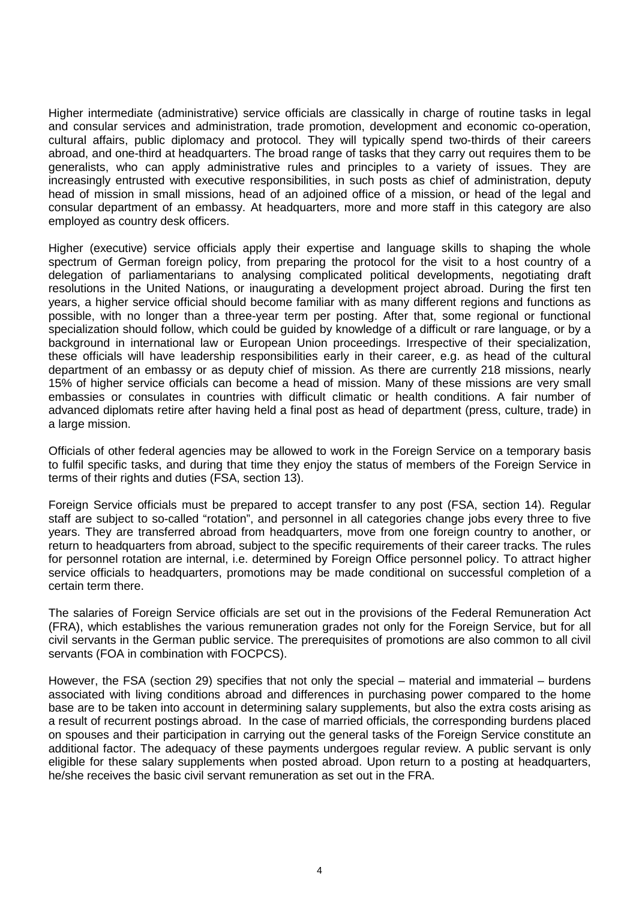Higher intermediate (administrative) service officials are classically in charge of routine tasks in legal and consular services and administration, trade promotion, development and economic co-operation, cultural affairs, public diplomacy and protocol. They will typically spend two-thirds of their careers abroad, and one-third at headquarters. The broad range of tasks that they carry out requires them to be generalists, who can apply administrative rules and principles to a variety of issues. They are increasingly entrusted with executive responsibilities, in such posts as chief of administration, deputy head of mission in small missions, head of an adjoined office of a mission, or head of the legal and consular department of an embassy. At headquarters, more and more staff in this category are also employed as country desk officers.

Higher (executive) service officials apply their expertise and language skills to shaping the whole spectrum of German foreign policy, from preparing the protocol for the visit to a host country of a delegation of parliamentarians to analysing complicated political developments, negotiating draft resolutions in the United Nations, or inaugurating a development project abroad. During the first ten years, a higher service official should become familiar with as many different regions and functions as possible, with no longer than a three-year term per posting. After that, some regional or functional specialization should follow, which could be guided by knowledge of a difficult or rare language, or by a background in international law or European Union proceedings. Irrespective of their specialization, these officials will have leadership responsibilities early in their career, e.g. as head of the cultural department of an embassy or as deputy chief of mission. As there are currently 218 missions, nearly 15% of higher service officials can become a head of mission. Many of these missions are very small embassies or consulates in countries with difficult climatic or health conditions. A fair number of advanced diplomats retire after having held a final post as head of department (press, culture, trade) in a large mission.

Officials of other federal agencies may be allowed to work in the Foreign Service on a temporary basis to fulfil specific tasks, and during that time they enjoy the status of members of the Foreign Service in terms of their rights and duties (FSA, section 13).

Foreign Service officials must be prepared to accept transfer to any post (FSA, section 14). Regular staff are subject to so-called "rotation", and personnel in all categories change jobs every three to five years. They are transferred abroad from headquarters, move from one foreign country to another, or return to headquarters from abroad, subject to the specific requirements of their career tracks. The rules for personnel rotation are internal, i.e. determined by Foreign Office personnel policy. To attract higher service officials to headquarters, promotions may be made conditional on successful completion of a certain term there.

The salaries of Foreign Service officials are set out in the provisions of the Federal Remuneration Act (FRA), which establishes the various remuneration grades not only for the Foreign Service, but for all civil servants in the German public service. The prerequisites of promotions are also common to all civil servants (FOA in combination with FOCPCS).

However, the FSA (section 29) specifies that not only the special – material and immaterial – burdens associated with living conditions abroad and differences in purchasing power compared to the home base are to be taken into account in determining salary supplements, but also the extra costs arising as a result of recurrent postings abroad. In the case of married officials, the corresponding burdens placed on spouses and their participation in carrying out the general tasks of the Foreign Service constitute an additional factor. The adequacy of these payments undergoes regular review. A public servant is only eligible for these salary supplements when posted abroad. Upon return to a posting at headquarters, he/she receives the basic civil servant remuneration as set out in the FRA.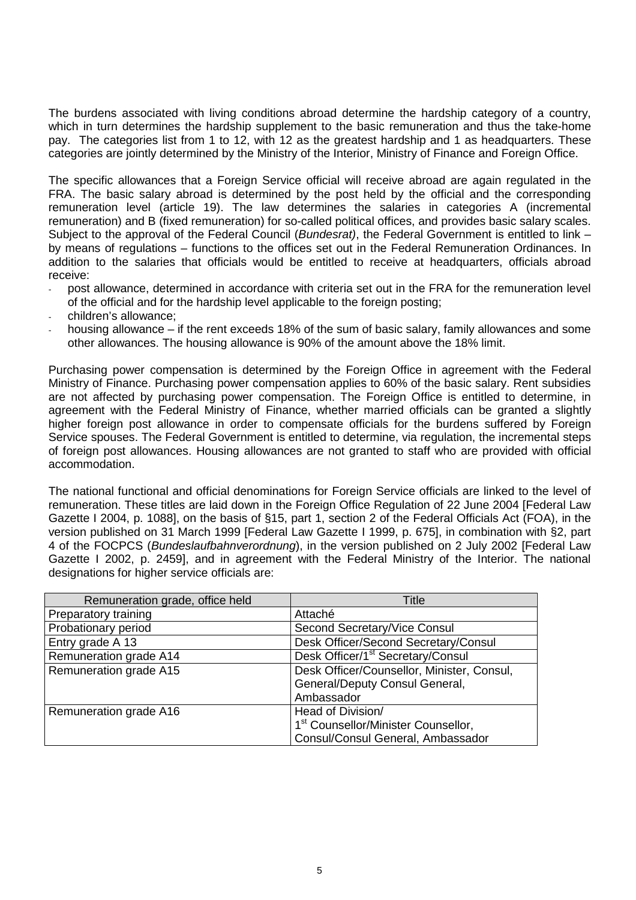The burdens associated with living conditions abroad determine the hardship category of a country, which in turn determines the hardship supplement to the basic remuneration and thus the take-home pay. The categories list from 1 to 12, with 12 as the greatest hardship and 1 as headquarters. These categories are jointly determined by the Ministry of the Interior, Ministry of Finance and Foreign Office.

The specific allowances that a Foreign Service official will receive abroad are again regulated in the FRA. The basic salary abroad is determined by the post held by the official and the corresponding remuneration level (article 19). The law determines the salaries in categories A (incremental remuneration) and B (fixed remuneration) for so-called political offices, and provides basic salary scales. Subject to the approval of the Federal Council (Bundesrat), the Federal Government is entitled to link by means of regulations – functions to the offices set out in the Federal Remuneration Ordinances. In addition to the salaries that officials would be entitled to receive at headquarters, officials abroad receive:

- post allowance, determined in accordance with criteria set out in the FRA for the remuneration level of the official and for the hardship level applicable to the foreign posting;
- children's allowance;
- housing allowance if the rent exceeds 18% of the sum of basic salary, family allowances and some other allowances. The housing allowance is 90% of the amount above the 18% limit.

Purchasing power compensation is determined by the Foreign Office in agreement with the Federal Ministry of Finance. Purchasing power compensation applies to 60% of the basic salary. Rent subsidies are not affected by purchasing power compensation. The Foreign Office is entitled to determine, in agreement with the Federal Ministry of Finance, whether married officials can be granted a slightly higher foreign post allowance in order to compensate officials for the burdens suffered by Foreign Service spouses. The Federal Government is entitled to determine, via regulation, the incremental steps of foreign post allowances. Housing allowances are not granted to staff who are provided with official accommodation.

The national functional and official denominations for Foreign Service officials are linked to the level of remuneration. These titles are laid down in the Foreign Office Regulation of 22 June 2004 [Federal Law Gazette I 2004, p. 1088], on the basis of §15, part 1, section 2 of the Federal Officials Act (FOA), in the version published on 31 March 1999 [Federal Law Gazette I 1999, p. 675], in combination with §2, part 4 of the FOCPCS (Bundeslaufbahnverordnung), in the version published on 2 July 2002 [Federal Law Gazette I 2002, p. 2459], and in agreement with the Federal Ministry of the Interior. The national designations for higher service officials are:

| Remuneration grade, office held | Title                                           |
|---------------------------------|-------------------------------------------------|
| Preparatory training            | Attaché                                         |
| Probationary period             | Second Secretary/Vice Consul                    |
| Entry grade A 13                | Desk Officer/Second Secretary/Consul            |
| Remuneration grade A14          | Desk Officer/1 <sup>st</sup> Secretary/Consul   |
| Remuneration grade A15          | Desk Officer/Counsellor, Minister, Consul,      |
|                                 | General/Deputy Consul General,                  |
|                                 | Ambassador                                      |
| Remuneration grade A16          | Head of Division/                               |
|                                 | 1 <sup>st</sup> Counsellor/Minister Counsellor, |
|                                 | Consul/Consul General, Ambassador               |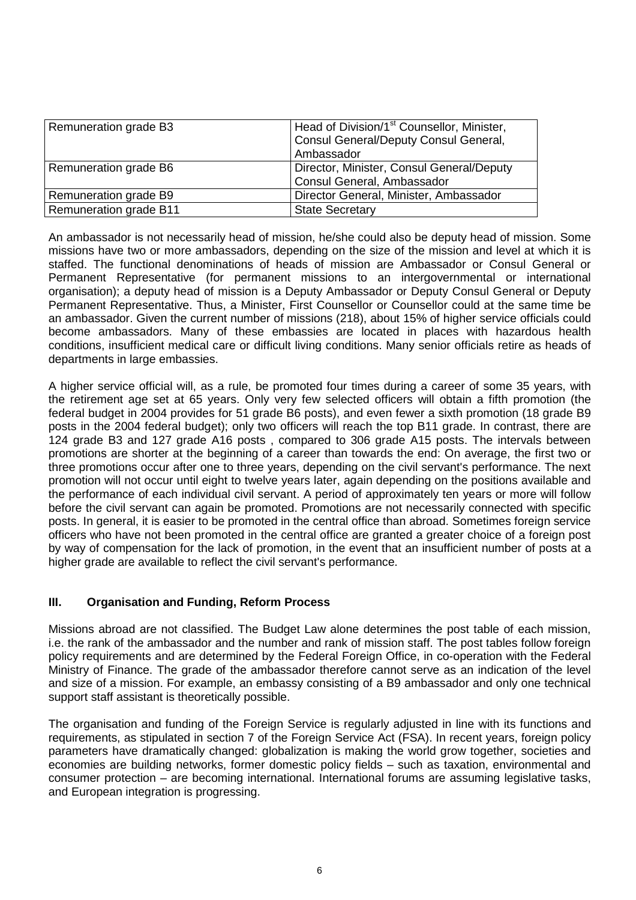| Remuneration grade B3  | Head of Division/1 <sup>st</sup> Counsellor, Minister,<br>Consul General/Deputy Consul General,<br>Ambassador |
|------------------------|---------------------------------------------------------------------------------------------------------------|
| Remuneration grade B6  | Director, Minister, Consul General/Deputy<br>Consul General, Ambassador                                       |
| Remuneration grade B9  | Director General, Minister, Ambassador                                                                        |
| Remuneration grade B11 | <b>State Secretary</b>                                                                                        |

An ambassador is not necessarily head of mission, he/she could also be deputy head of mission. Some missions have two or more ambassadors, depending on the size of the mission and level at which it is staffed. The functional denominations of heads of mission are Ambassador or Consul General or Permanent Representative (for permanent missions to an intergovernmental or international organisation); a deputy head of mission is a Deputy Ambassador or Deputy Consul General or Deputy Permanent Representative. Thus, a Minister, First Counsellor or Counsellor could at the same time be an ambassador. Given the current number of missions (218), about 15% of higher service officials could become ambassadors. Many of these embassies are located in places with hazardous health conditions, insufficient medical care or difficult living conditions. Many senior officials retire as heads of departments in large embassies.

A higher service official will, as a rule, be promoted four times during a career of some 35 years, with the retirement age set at 65 years. Only very few selected officers will obtain a fifth promotion (the federal budget in 2004 provides for 51 grade B6 posts), and even fewer a sixth promotion (18 grade B9 posts in the 2004 federal budget); only two officers will reach the top B11 grade. In contrast, there are 124 grade B3 and 127 grade A16 posts , compared to 306 grade A15 posts. The intervals between promotions are shorter at the beginning of a career than towards the end: On average, the first two or three promotions occur after one to three years, depending on the civil servant's performance. The next promotion will not occur until eight to twelve years later, again depending on the positions available and the performance of each individual civil servant. A period of approximately ten years or more will follow before the civil servant can again be promoted. Promotions are not necessarily connected with specific posts. In general, it is easier to be promoted in the central office than abroad. Sometimes foreign service officers who have not been promoted in the central office are granted a greater choice of a foreign post by way of compensation for the lack of promotion, in the event that an insufficient number of posts at a higher grade are available to reflect the civil servant's performance.

### **III. Organisation and Funding, Reform Process**

Missions abroad are not classified. The Budget Law alone determines the post table of each mission, i.e. the rank of the ambassador and the number and rank of mission staff. The post tables follow foreign policy requirements and are determined by the Federal Foreign Office, in co-operation with the Federal Ministry of Finance. The grade of the ambassador therefore cannot serve as an indication of the level and size of a mission. For example, an embassy consisting of a B9 ambassador and only one technical support staff assistant is theoretically possible.

The organisation and funding of the Foreign Service is regularly adjusted in line with its functions and requirements, as stipulated in section 7 of the Foreign Service Act (FSA). In recent years, foreign policy parameters have dramatically changed: globalization is making the world grow together, societies and economies are building networks, former domestic policy fields – such as taxation, environmental and consumer protection – are becoming international. International forums are assuming legislative tasks, and European integration is progressing.